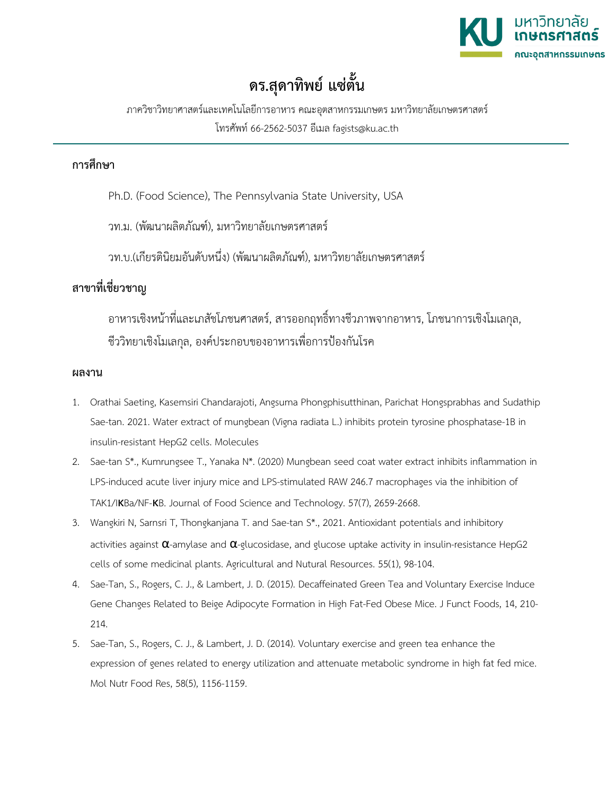

## **ดร.สุดาทิพย แซตั้น**

ภาควิชาวิทยาศาสตรและเทคโนโลยีการอาหาร คณะอุตสาหกรรมเกษตร มหาวิทยาลัยเกษตรศาสตร โทรศัพท 66-2562-5037 อีเมล fagists@ku.ac.th

## **การศึกษา**

Ph.D. (Food Science), The Pennsylvania State University, USA

วท.ม. (พัฒนาผลิตภัณฑ), มหาวิทยาลัยเกษตรศาสตร

วท.บ.(เกียรตินิยมอันดับหนึ่ง) (พัฒนาผลิตภัณฑ), มหาวิทยาลัยเกษตรศาสตร

## **สาขาที่เชี่ยวชาญ**

อาหารเชิงหน้าที่และเภสัชโภชนศาสตร์, สารออกฤทธิ์ทางชีวภาพจากอาหาร, โภชนาการเชิงโมเลกล, ชีววิทยาเชิงโมเลกุล, องคประกอบของอาหารเพื่อการปองกันโรค

## **ผลงาน**

- 1. Orathai Saeting, Kasemsiri Chandarajoti, Angsuma Phongphisutthinan, Parichat Hongsprabhas and Sudathip Sae-tan. 2021. Water extract of mungbean (Vigna radiata L.) inhibits protein tyrosine phosphatase-1B in insulin-resistant HepG2 cells. Molecules
- 2. Sae-tan S\*., Kumrungsee T., Yanaka N\*. (2020) Mungbean seed coat water extract inhibits inflammation in LPS-induced acute liver injury mice and LPS-stimulated RAW 246.7 macrophages via the inhibition of TAK1/IKBa/NF-KB. Journal of Food Science and Technology. 57(7), 2659-2668.
- 3. Wangkiri N, Sarnsri T, Thongkanjana T. and Sae-tan S\*., 2021. Antioxidant potentials and inhibitory activities against  $\alpha$ -amylase and  $\alpha$ -glucosidase, and glucose uptake activity in insulin-resistance HepG2 cells of some medicinal plants. Agricultural and Nutural Resources. 55(1), 98-104.
- 4. Sae-Tan, S., Rogers, C. J., & Lambert, J. D. (2015). Decaffeinated Green Tea and Voluntary Exercise Induce Gene Changes Related to Beige Adipocyte Formation in High Fat-Fed Obese Mice. J Funct Foods, 14, 210- 214.
- 5. Sae-Tan, S., Rogers, C. J., & Lambert, J. D. (2014). Voluntary exercise and green tea enhance the expression of genes related to energy utilization and attenuate metabolic syndrome in high fat fed mice. Mol Nutr Food Res, 58(5), 1156-1159.